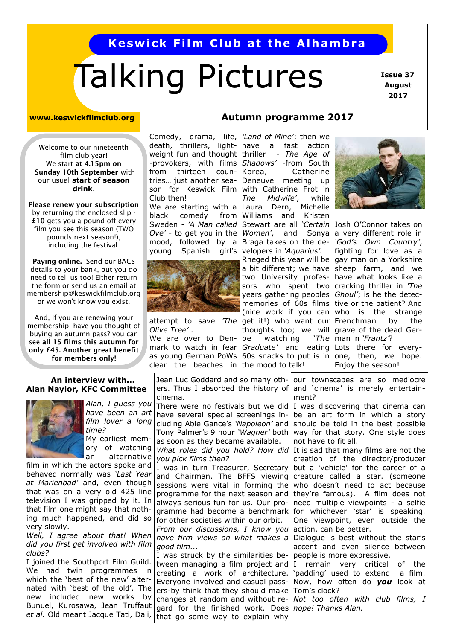# **Keswick Film Club at the Alhambra**

# Talking Pictures

 **Issue 37 August 2017**

Welcome to our nineteenth film club year! We start **at 4.15pm on Sunday 10th September** with our usual **start of season drink**.

P**lease renew your subscription**  by returning the enclosed slip - **£10** gets you a pound off every film you see this season (TWO pounds next season!), including the festival.

**Paying online.** Send our BACS details to your bank, but you do need to tell us too! Either return the form or send us an email at membership@keswickfilmclub.org or we won't know you exist.

And, if you are renewing your membership, have you thought of buying an autumn pass? you can see **all 15 films this autumn for only £45. Another great benefit for members only!**

#### **An interview with... Alan Naylor, KFC Committee**



*Alan, I guess you have been an art film lover a long time?*  My earliest mem-

ory of watching an alternative film in which the actors spoke and

behaved normally was *'Last Year at Marienbad'* and, even though that was on a very old 425 line television I was gripped by it. In that film one might say that nothing much happened, and did so very slowly.

*Well, I agree about that! When did you first get involved with film clubs?*

I joined the Southport Film Guild. We had twin programmes in which the 'best of the new' alternated with 'best of the old'. The new included new works by Bunuel, Kurosawa, Jean Truffaut *et al.* Old meant Jacque Tati, Dali,

### **www.keswickfilmclub.org Autumn programme 2017**

Comedy, drama, life, *'Land of Mine'*; then we from thirteen coun- Korea, Club then!

black comedy young Spanish



*Olive Tree'* .

We are over to Denclear the beaches in the mood to talk!

*you pick films then?*

*good film...*

have several special screenings including Able Gance's *'Napoleon'* and Tony Palmer's 9 hour *'Wagner'* both as soon as they became available. *What roles did you hold? How did* 

I was in turn Treasurer, Secretary and Chairman. The BFFS viewing sessions were vital in forming the programme for the next season and always serious fun for us. Our programme had become a benchmark for other societies within our orbit. *From our discussions, I know you have firm views on what makes a* 

I was struck by the similarities between managing a film project and creating a work of architecture. Everyone involved and casual passers-by think that they should make

cinema.

death, thrillers, light-have a fast action weight fun and thought thriller - *The Age of*  -provokers, with films *Shadows'* -from South tries… just another sea-Deneuve meeting up son for Keswick Film with Catherine Frot in We are starting with a Laura Dern, Michelle Sweden - 'A Man called Stewart are all 'Certain Josh O'Connor takes on *Ove'* - to get you in the *Women'*, and Sonya a very different role in mood, followed by a Braga takes on the de-*'God's Own Country'*, attempt to save *The* get it!) who want our Frenchman by the mark to watch in fear *Graduate'* and eating Lots there for every-Catherine *The Midwife'*, while Williams and Kristen girl's velopers in 'Aquarius'. years gathering peoples *Ghoul'*; is he the detecthoughts too; we will grave of the dead Gerwatching



as young German PoWs 60s snacks to put is in one, then, we hope. Rheged this year will be gay man on a Yorkshire a bit different; we have sheep farm, and we two University profes-have what looks like a sors who spent two cracking thriller in *'The*  memories of 60s films tive or the patient? And (nice work if you can who is the strange fighting for love as a 'The man in 'Frantz'? Enjoy the season!

Jean Luc Goddard and so many others. Thus I absorbed the history of There were no festivals but we did our townscapes are so mediocre and 'cinema' is merely entertainment?

I was discovering that cinema can be an art form in which a story should be told in the best possible way for that story. One style does not have to fit all.

It is sad that many films are not the creation of the director/producer but a 'vehicle' for the career of a creature called a star. (someone who doesn't need to act because they're famous). A film does not need multiple viewpoints - a selfie for whichever 'star' is speaking. One viewpoint, even outside the action, can be better.

Dialogue is best without the star's accent and even silence between people is more expressive.

I remain very critical of the 'padding' used to extend a film. Now, how often do *you* look at Tom's clock?

changes at random and without regard for the finished work. Does *hope! Thanks Alan.*that go some way to explain why *Not too often with club films, I*